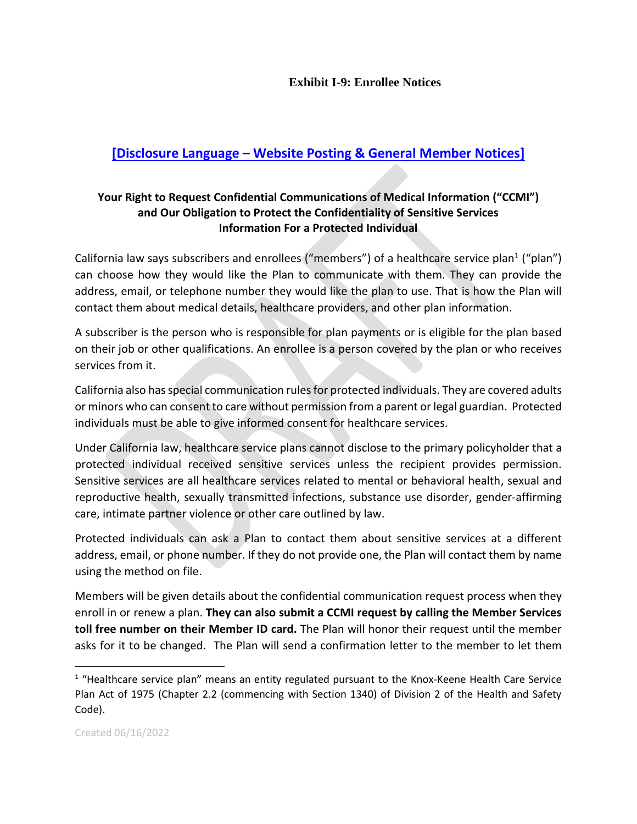## **Exhibit I-9: Enrollee Notices**

## **[Disclosure Language – Website Posting & General Member Notices]**

## **Your Right to Request Confidential Communications of Medical Information ("CCMI") and Our Obligation to Protect the Confidentiality of Sensitive Services Information For a Protected Individual**

California law says subscribers and enrollees ("members") of a healthcare service plan<sup>1</sup> ("plan") can choose how they would like the Plan to communicate with them. They can provide the address, email, or telephone number they would like the plan to use. That is how the Plan will contact them about medical details, healthcare providers, and other plan information.

A subscriber is the person who is responsible for plan payments or is eligible for the plan based on their job or other qualifications. An enrollee is a person covered by the plan or who receives services from it.

California also has special communication rules for protected individuals. They are covered adults or minors who can consent to care without permission from a parent or legal guardian. Protected individuals must be able to give informed consent for healthcare services.

Under California law, healthcare service plans cannot disclose to the primary policyholder that a protected individual received sensitive services unless the recipient provides permission. Sensitive services are all healthcare services related to mental or behavioral health, sexual and reproductive health, sexually transmitted infections, substance use disorder, gender-affirming care, intimate partner violence or other care outlined by law.

Protected individuals can ask a Plan to contact them about sensitive services at a different address, email, or phone number. If they do not provide one, the Plan will contact them by name using the method on file.

Members will be given details about the confidential communication request process when they enroll in or renew a plan. **They can also submit a CCMI request by calling the Member Services toll free number on their Member ID card.** The Plan will honor their request until the member asks for it to be changed. The Plan will send a confirmation letter to the member to let them

 $\overline{a}$ 

<sup>&</sup>lt;sup>1</sup> "Healthcare service plan" means an entity regulated pursuant to the Knox-Keene Health Care Service Plan Act of 1975 (Chapter 2.2 (commencing with Section 1340) of Division 2 of the Health and Safety Code).